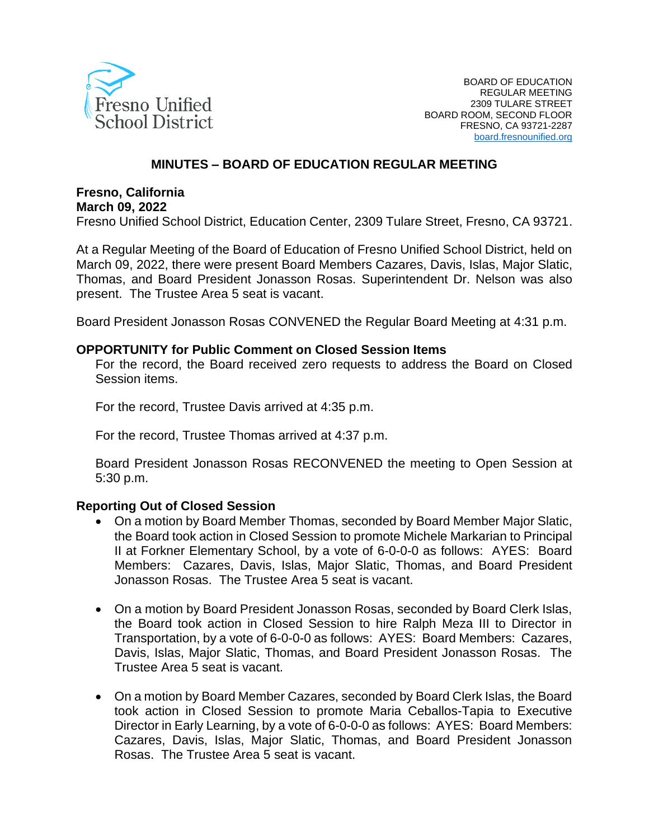

#### **MINUTES – BOARD OF EDUCATION REGULAR MEETING**

#### **Fresno, California March 09, 2022**

Fresno Unified School District, Education Center, 2309 Tulare Street, Fresno, CA 93721.

At a Regular Meeting of the Board of Education of Fresno Unified School District, held on March 09, 2022, there were present Board Members Cazares, Davis, Islas, Major Slatic, Thomas, and Board President Jonasson Rosas. Superintendent Dr. Nelson was also present. The Trustee Area 5 seat is vacant.

Board President Jonasson Rosas CONVENED the Regular Board Meeting at 4:31 p.m.

#### **OPPORTUNITY for Public Comment on Closed Session Items**

For the record, the Board received zero requests to address the Board on Closed Session items.

For the record, Trustee Davis arrived at 4:35 p.m.

For the record, Trustee Thomas arrived at 4:37 p.m.

Board President Jonasson Rosas RECONVENED the meeting to Open Session at 5:30 p.m.

#### **Reporting Out of Closed Session**

- On a motion by Board Member Thomas, seconded by Board Member Major Slatic, the Board took action in Closed Session to promote Michele Markarian to Principal II at Forkner Elementary School, by a vote of 6-0-0-0 as follows: AYES: Board Members: Cazares, Davis, Islas, Major Slatic, Thomas, and Board President Jonasson Rosas. The Trustee Area 5 seat is vacant.
- On a motion by Board President Jonasson Rosas, seconded by Board Clerk Islas, the Board took action in Closed Session to hire Ralph Meza III to Director in Transportation, by a vote of 6-0-0-0 as follows: AYES: Board Members: Cazares, Davis, Islas, Major Slatic, Thomas, and Board President Jonasson Rosas. The Trustee Area 5 seat is vacant.
- On a motion by Board Member Cazares, seconded by Board Clerk Islas, the Board took action in Closed Session to promote Maria Ceballos-Tapia to Executive Director in Early Learning, by a vote of 6-0-0-0 as follows: AYES: Board Members: Cazares, Davis, Islas, Major Slatic, Thomas, and Board President Jonasson Rosas. The Trustee Area 5 seat is vacant.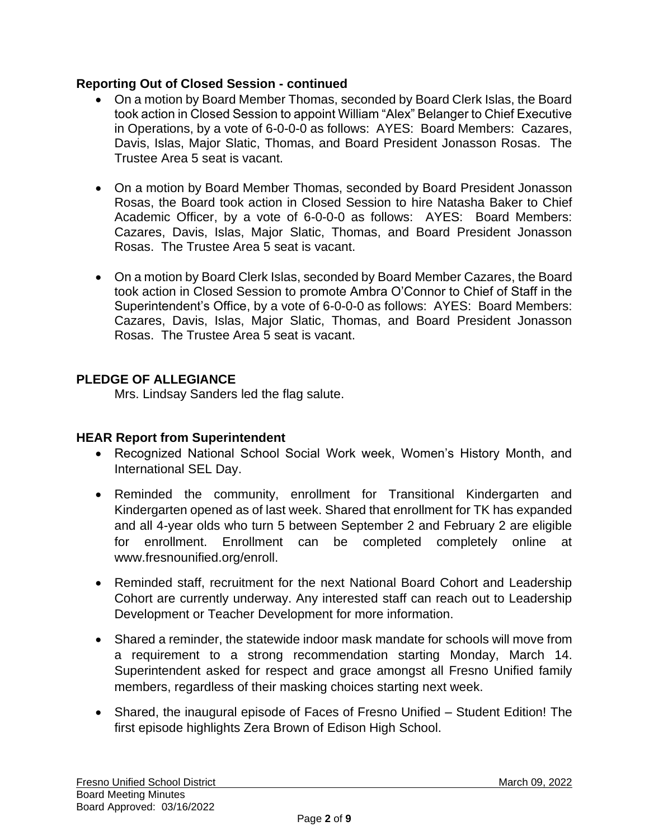#### **Reporting Out of Closed Session - continued**

- On a motion by Board Member Thomas, seconded by Board Clerk Islas, the Board took action in Closed Session to appoint William "Alex" Belanger to Chief Executive in Operations, by a vote of 6-0-0-0 as follows: AYES: Board Members: Cazares, Davis, Islas, Major Slatic, Thomas, and Board President Jonasson Rosas. The Trustee Area 5 seat is vacant.
- On a motion by Board Member Thomas, seconded by Board President Jonasson Rosas, the Board took action in Closed Session to hire Natasha Baker to Chief Academic Officer, by a vote of 6-0-0-0 as follows: AYES: Board Members: Cazares, Davis, Islas, Major Slatic, Thomas, and Board President Jonasson Rosas. The Trustee Area 5 seat is vacant.
- On a motion by Board Clerk Islas, seconded by Board Member Cazares, the Board took action in Closed Session to promote Ambra O'Connor to Chief of Staff in the Superintendent's Office, by a vote of 6-0-0-0 as follows: AYES: Board Members: Cazares, Davis, Islas, Major Slatic, Thomas, and Board President Jonasson Rosas. The Trustee Area 5 seat is vacant.

## **PLEDGE OF ALLEGIANCE**

Mrs. Lindsay Sanders led the flag salute.

## **HEAR Report from Superintendent**

- Recognized National School Social Work week, Women's History Month, and International SEL Day.
- Reminded the community, enrollment for Transitional Kindergarten and Kindergarten opened as of last week. Shared that enrollment for TK has expanded and all 4-year olds who turn 5 between September 2 and February 2 are eligible for enrollment. Enrollment can be completed completely online at www.fresnounified.org/enroll.
- Reminded staff, recruitment for the next National Board Cohort and Leadership Cohort are currently underway. Any interested staff can reach out to Leadership Development or Teacher Development for more information.
- Shared a reminder, the statewide indoor mask mandate for schools will move from a requirement to a strong recommendation starting Monday, March 14. Superintendent asked for respect and grace amongst all Fresno Unified family members, regardless of their masking choices starting next week.
- Shared, the inaugural episode of Faces of Fresno Unified Student Edition! The first episode highlights Zera Brown of Edison High School.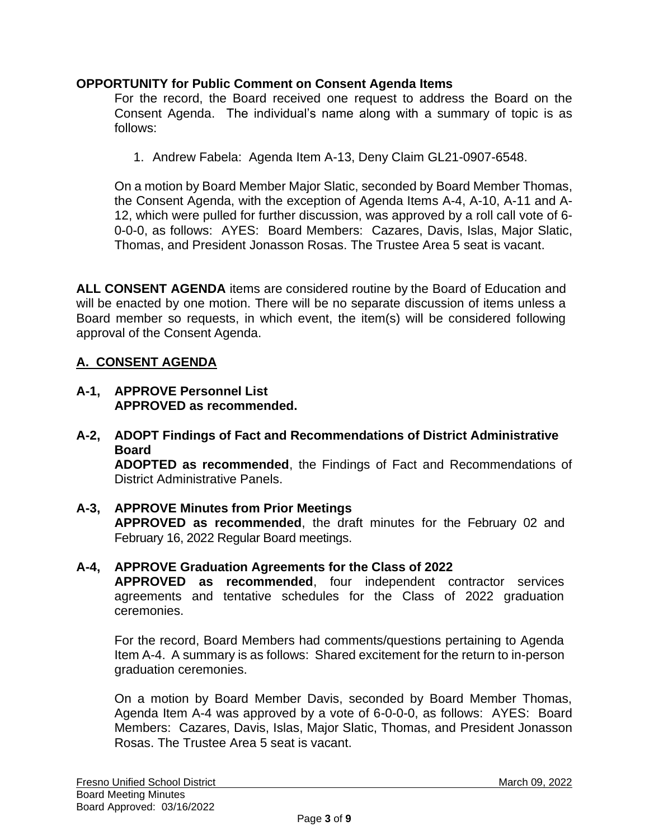#### **OPPORTUNITY for Public Comment on Consent Agenda Items**

For the record, the Board received one request to address the Board on the Consent Agenda. The individual's name along with a summary of topic is as follows:

1. Andrew Fabela: Agenda Item A-13, Deny Claim GL21-0907-6548.

On a motion by Board Member Major Slatic, seconded by Board Member Thomas, the Consent Agenda, with the exception of Agenda Items A-4, A-10, A-11 and A-12, which were pulled for further discussion, was approved by a roll call vote of 6- 0-0-0, as follows: AYES: Board Members: Cazares, Davis, Islas, Major Slatic, Thomas, and President Jonasson Rosas. The Trustee Area 5 seat is vacant.

**ALL CONSENT AGENDA** items are considered routine by the Board of Education and will be enacted by one motion. There will be no separate discussion of items unless a Board member so requests, in which event, the item(s) will be considered following approval of the Consent Agenda.

## **A. CONSENT AGENDA**

- **A-1, APPROVE Personnel List APPROVED as recommended.**
- **A-2, ADOPT Findings of Fact and Recommendations of District Administrative Board**

**ADOPTED as recommended**, the Findings of Fact and Recommendations of District Administrative Panels.

- **A-3, APPROVE Minutes from Prior Meetings APPROVED as recommended**, the draft minutes for the February 02 and February 16, 2022 Regular Board meetings.
- **A-4, APPROVE Graduation Agreements for the Class of 2022 APPROVED as recommended**, four independent contractor services agreements and tentative schedules for the Class of 2022 graduation ceremonies.

For the record, Board Members had comments/questions pertaining to Agenda Item A-4. A summary is as follows: Shared excitement for the return to in-person graduation ceremonies.

On a motion by Board Member Davis, seconded by Board Member Thomas, Agenda Item A-4 was approved by a vote of 6-0-0-0, as follows: AYES: Board Members: Cazares, Davis, Islas, Major Slatic, Thomas, and President Jonasson Rosas. The Trustee Area 5 seat is vacant.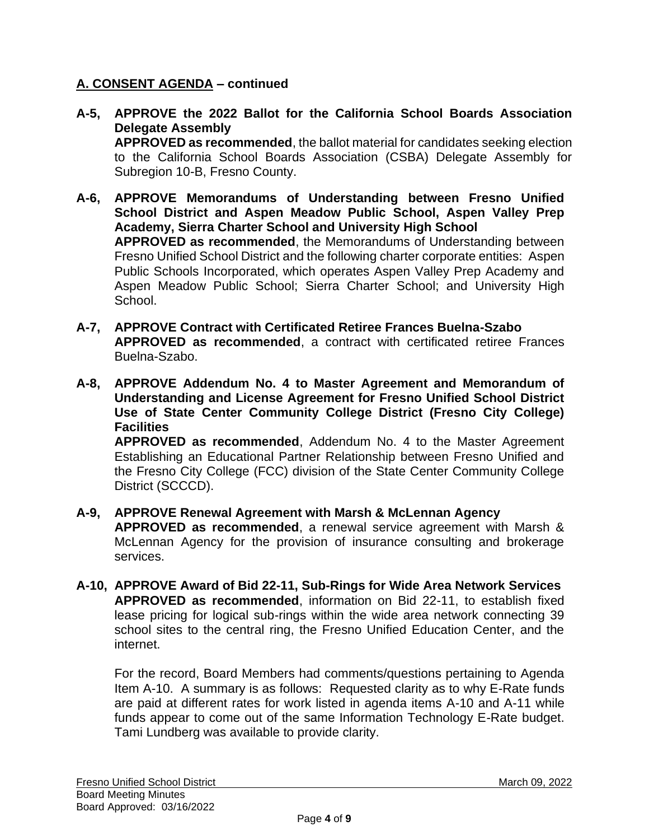## **A. CONSENT AGENDA – continued**

- **A-5, APPROVE the 2022 Ballot for the California School Boards Association Delegate Assembly APPROVED as recommended**, the ballot material for candidates seeking election to the California School Boards Association (CSBA) Delegate Assembly for Subregion 10-B, Fresno County.
- **A-6, APPROVE Memorandums of Understanding between Fresno Unified School District and Aspen Meadow Public School, Aspen Valley Prep Academy, Sierra Charter School and University High School APPROVED as recommended**, the Memorandums of Understanding between Fresno Unified School District and the following charter corporate entities: Aspen Public Schools Incorporated, which operates Aspen Valley Prep Academy and Aspen Meadow Public School; Sierra Charter School; and University High School.
- **A-7, APPROVE Contract with Certificated Retiree Frances Buelna-Szabo APPROVED as recommended**, a contract with certificated retiree Frances Buelna-Szabo.
- **A-8, APPROVE Addendum No. 4 to Master Agreement and Memorandum of Understanding and License Agreement for Fresno Unified School District Use of State Center Community College District (Fresno City College) Facilities**

**APPROVED as recommended**, Addendum No. 4 to the Master Agreement Establishing an Educational Partner Relationship between Fresno Unified and the Fresno City College (FCC) division of the State Center Community College District (SCCCD).

# **A-9, APPROVE Renewal Agreement with Marsh & McLennan Agency**

**APPROVED as recommended**, a renewal service agreement with Marsh & McLennan Agency for the provision of insurance consulting and brokerage services.

**A-10, APPROVE Award of Bid 22-11, Sub-Rings for Wide Area Network Services APPROVED as recommended**, information on Bid 22-11, to establish fixed lease pricing for logical sub-rings within the wide area network connecting 39 school sites to the central ring, the Fresno Unified Education Center, and the internet.

For the record, Board Members had comments/questions pertaining to Agenda Item A-10. A summary is as follows: Requested clarity as to why E-Rate funds are paid at different rates for work listed in agenda items A-10 and A-11 while funds appear to come out of the same Information Technology E-Rate budget. Tami Lundberg was available to provide clarity.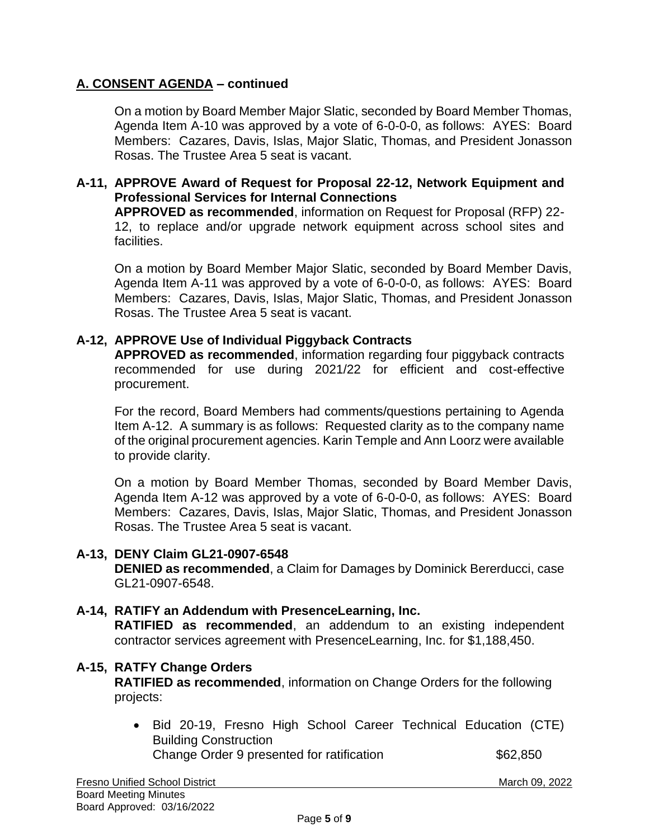## **A. CONSENT AGENDA – continued**

On a motion by Board Member Major Slatic, seconded by Board Member Thomas, Agenda Item A-10 was approved by a vote of 6-0-0-0, as follows: AYES: Board Members: Cazares, Davis, Islas, Major Slatic, Thomas, and President Jonasson Rosas. The Trustee Area 5 seat is vacant.

#### **A-11, APPROVE Award of Request for Proposal 22-12, Network Equipment and Professional Services for Internal Connections**

**APPROVED as recommended**, information on Request for Proposal (RFP) 22- 12, to replace and/or upgrade network equipment across school sites and facilities.

On a motion by Board Member Major Slatic, seconded by Board Member Davis, Agenda Item A-11 was approved by a vote of 6-0-0-0, as follows: AYES: Board Members: Cazares, Davis, Islas, Major Slatic, Thomas, and President Jonasson Rosas. The Trustee Area 5 seat is vacant.

#### **A-12, APPROVE Use of Individual Piggyback Contracts**

**APPROVED as recommended**, information regarding four piggyback contracts recommended for use during 2021/22 for efficient and cost-effective procurement.

For the record, Board Members had comments/questions pertaining to Agenda Item A-12. A summary is as follows: Requested clarity as to the company name of the original procurement agencies. Karin Temple and Ann Loorz were available to provide clarity.

On a motion by Board Member Thomas, seconded by Board Member Davis, Agenda Item A-12 was approved by a vote of 6-0-0-0, as follows: AYES: Board Members: Cazares, Davis, Islas, Major Slatic, Thomas, and President Jonasson Rosas. The Trustee Area 5 seat is vacant.

#### **A-13, DENY Claim GL21-0907-6548 DENIED as recommended**, a Claim for Damages by Dominick Bererducci, case GL21-0907-6548.

**A-14, RATIFY an Addendum with PresenceLearning, Inc. RATIFIED as recommended**, an addendum to an existing independent contractor services agreement with PresenceLearning, Inc. for \$1,188,450.

#### **A-15, RATFY Change Orders**

**RATIFIED as recommended**, information on Change Orders for the following projects:

• Bid 20-19, Fresno High School Career Technical Education (CTE) Building Construction Change Order 9 presented for ratification  $$62,850$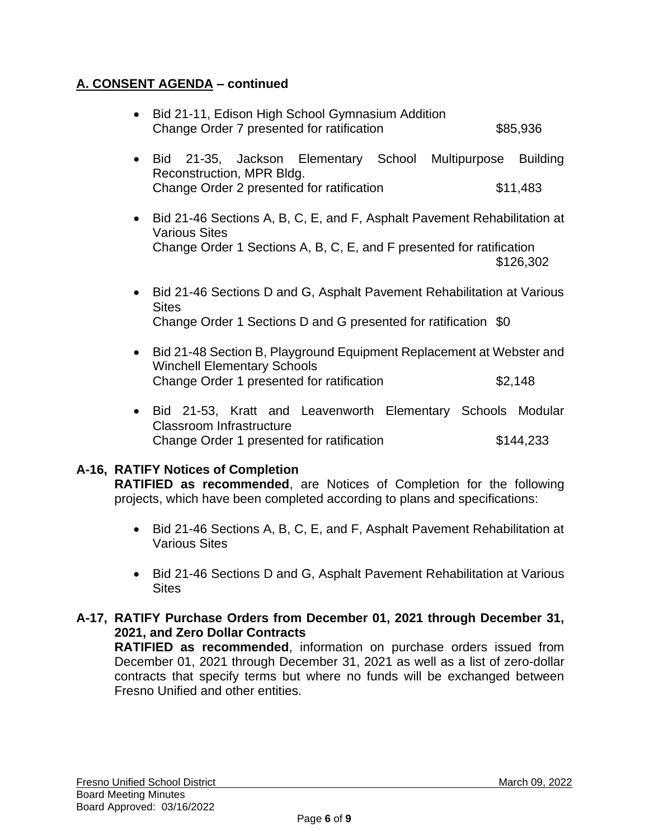## **A. CONSENT AGENDA – continued**

| $\bullet$ | Bid 21-11, Edison High School Gymnasium Addition<br>Change Order 7 presented for ratification                                                                                         |                                                                                 | \$85,936                    |  |
|-----------|---------------------------------------------------------------------------------------------------------------------------------------------------------------------------------------|---------------------------------------------------------------------------------|-----------------------------|--|
|           | Bid 21-35, Jackson Elementary School Multipurpose<br>Reconstruction, MPR Bldg.<br>Change Order 2 presented for ratification                                                           |                                                                                 | <b>Building</b><br>\$11,483 |  |
|           | Bid 21-46 Sections A, B, C, E, and F, Asphalt Pavement Rehabilitation at<br><b>Various Sites</b><br>Change Order 1 Sections A, B, C, E, and F presented for ratification<br>\$126,302 |                                                                                 |                             |  |
|           | Bid 21-46 Sections D and G, Asphalt Pavement Rehabilitation at Various<br><b>Sites</b><br>Change Order 1 Sections D and G presented for ratification \$0                              |                                                                                 |                             |  |
|           | <b>Winchell Elementary Schools</b><br>Change Order 1 presented for ratification                                                                                                       | Bid 21-48 Section B, Playground Equipment Replacement at Webster and<br>\$2,148 |                             |  |
|           | 04.50 Vastt saal Laavaanaatka Elamantaan Oskaala Madulaa<br>n: J                                                                                                                      |                                                                                 |                             |  |

• Bid 21-53, Kratt and Leavenworth Elementary Schools Modular Classroom Infrastructure Change Order 1 presented for ratification \$144,233

## **A-16, RATIFY Notices of Completion**

**RATIFIED as recommended**, are Notices of Completion for the following projects, which have been completed according to plans and specifications:

- Bid 21-46 Sections A, B, C, E, and F, Asphalt Pavement Rehabilitation at Various Sites
- Bid 21-46 Sections D and G, Asphalt Pavement Rehabilitation at Various **Sites**

## **A-17, RATIFY Purchase Orders from December 01, 2021 through December 31, 2021, and Zero Dollar Contracts**

**RATIFIED as recommended**, information on purchase orders issued from December 01, 2021 through December 31, 2021 as well as a list of zero-dollar contracts that specify terms but where no funds will be exchanged between Fresno Unified and other entities.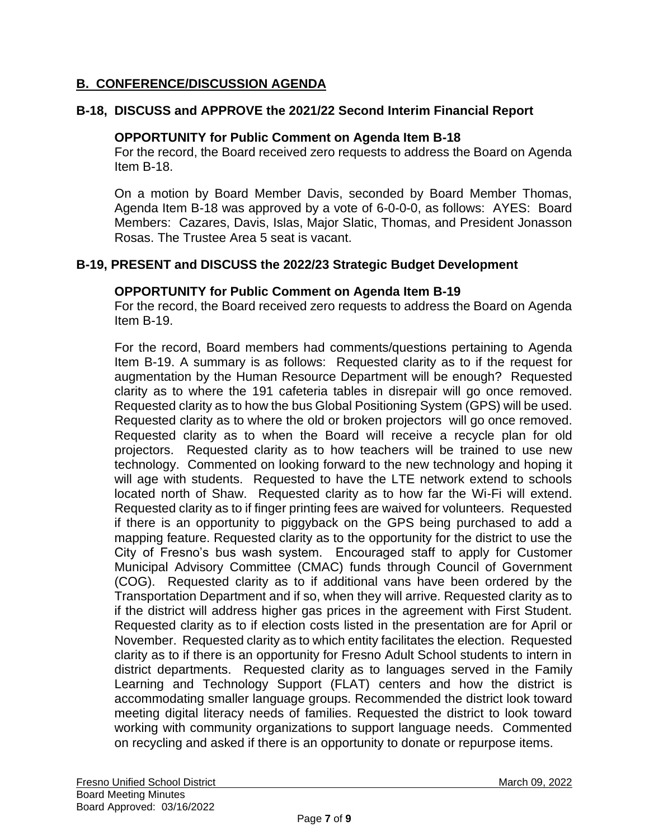## **B. CONFERENCE/DISCUSSION AGENDA**

#### **B-18, DISCUSS and APPROVE the 2021/22 Second Interim Financial Report**

#### **OPPORTUNITY for Public Comment on Agenda Item B-18**

For the record, the Board received zero requests to address the Board on Agenda Item B-18.

On a motion by Board Member Davis, seconded by Board Member Thomas, Agenda Item B-18 was approved by a vote of 6-0-0-0, as follows: AYES: Board Members: Cazares, Davis, Islas, Major Slatic, Thomas, and President Jonasson Rosas. The Trustee Area 5 seat is vacant.

#### **B-19, PRESENT and DISCUSS the 2022/23 Strategic Budget Development**

#### **OPPORTUNITY for Public Comment on Agenda Item B-19**

For the record, the Board received zero requests to address the Board on Agenda Item B-19.

For the record, Board members had comments/questions pertaining to Agenda Item B-19. A summary is as follows: Requested clarity as to if the request for augmentation by the Human Resource Department will be enough? Requested clarity as to where the 191 cafeteria tables in disrepair will go once removed. Requested clarity as to how the bus Global Positioning System (GPS) will be used. Requested clarity as to where the old or broken projectors will go once removed. Requested clarity as to when the Board will receive a recycle plan for old projectors. Requested clarity as to how teachers will be trained to use new technology. Commented on looking forward to the new technology and hoping it will age with students. Requested to have the LTE network extend to schools located north of Shaw. Requested clarity as to how far the Wi-Fi will extend. Requested clarity as to if finger printing fees are waived for volunteers. Requested if there is an opportunity to piggyback on the GPS being purchased to add a mapping feature. Requested clarity as to the opportunity for the district to use the City of Fresno's bus wash system. Encouraged staff to apply for Customer Municipal Advisory Committee (CMAC) funds through Council of Government (COG). Requested clarity as to if additional vans have been ordered by the Transportation Department and if so, when they will arrive. Requested clarity as to if the district will address higher gas prices in the agreement with First Student. Requested clarity as to if election costs listed in the presentation are for April or November. Requested clarity as to which entity facilitates the election. Requested clarity as to if there is an opportunity for Fresno Adult School students to intern in district departments. Requested clarity as to languages served in the Family Learning and Technology Support (FLAT) centers and how the district is accommodating smaller language groups. Recommended the district look toward meeting digital literacy needs of families. Requested the district to look toward working with community organizations to support language needs. Commented on recycling and asked if there is an opportunity to donate or repurpose items.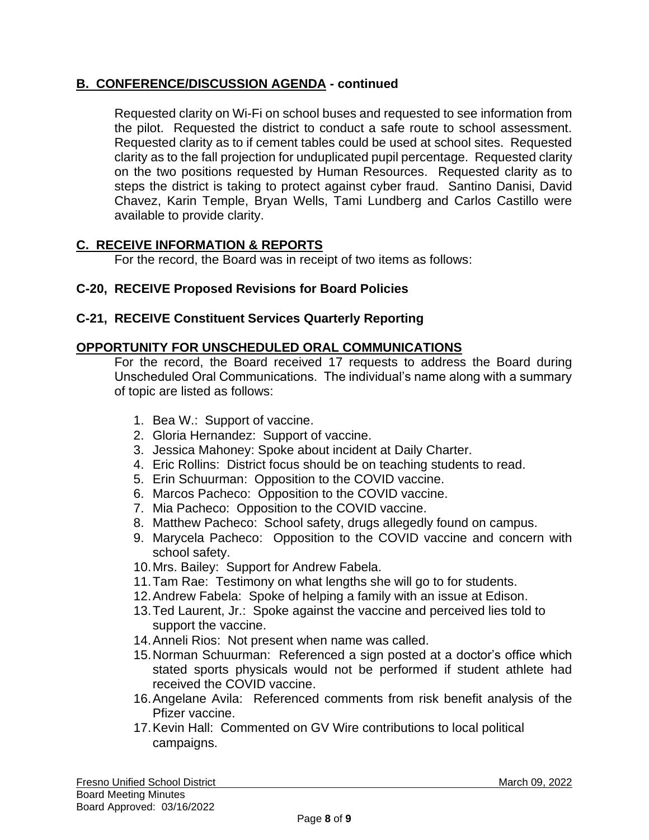## **B. CONFERENCE/DISCUSSION AGENDA - continued**

Requested clarity on Wi-Fi on school buses and requested to see information from the pilot. Requested the district to conduct a safe route to school assessment. Requested clarity as to if cement tables could be used at school sites. Requested clarity as to the fall projection for unduplicated pupil percentage. Requested clarity on the two positions requested by Human Resources. Requested clarity as to steps the district is taking to protect against cyber fraud. Santino Danisi, David Chavez, Karin Temple, Bryan Wells, Tami Lundberg and Carlos Castillo were available to provide clarity.

## **C. RECEIVE INFORMATION & REPORTS**

For the record, the Board was in receipt of two items as follows:

## **C-20, RECEIVE Proposed Revisions for Board Policies**

## **C-21, RECEIVE Constituent Services Quarterly Reporting**

## **OPPORTUNITY FOR UNSCHEDULED ORAL COMMUNICATIONS**

For the record, the Board received 17 requests to address the Board during Unscheduled Oral Communications. The individual's name along with a summary of topic are listed as follows:

- 1. Bea W.: Support of vaccine.
- 2. Gloria Hernandez: Support of vaccine.
- 3. Jessica Mahoney: Spoke about incident at Daily Charter.
- 4. Eric Rollins: District focus should be on teaching students to read.
- 5. Erin Schuurman: Opposition to the COVID vaccine.
- 6. Marcos Pacheco: Opposition to the COVID vaccine.
- 7. Mia Pacheco: Opposition to the COVID vaccine.
- 8. Matthew Pacheco: School safety, drugs allegedly found on campus.
- 9. Marycela Pacheco: Opposition to the COVID vaccine and concern with school safety.
- 10.Mrs. Bailey: Support for Andrew Fabela.
- 11.Tam Rae: Testimony on what lengths she will go to for students.
- 12.Andrew Fabela: Spoke of helping a family with an issue at Edison.
- 13.Ted Laurent, Jr.: Spoke against the vaccine and perceived lies told to support the vaccine.
- 14.Anneli Rios: Not present when name was called.
- 15.Norman Schuurman: Referenced a sign posted at a doctor's office which stated sports physicals would not be performed if student athlete had received the COVID vaccine.
- 16.Angelane Avila: Referenced comments from risk benefit analysis of the Pfizer vaccine.
- 17.Kevin Hall: Commented on GV Wire contributions to local political campaigns.